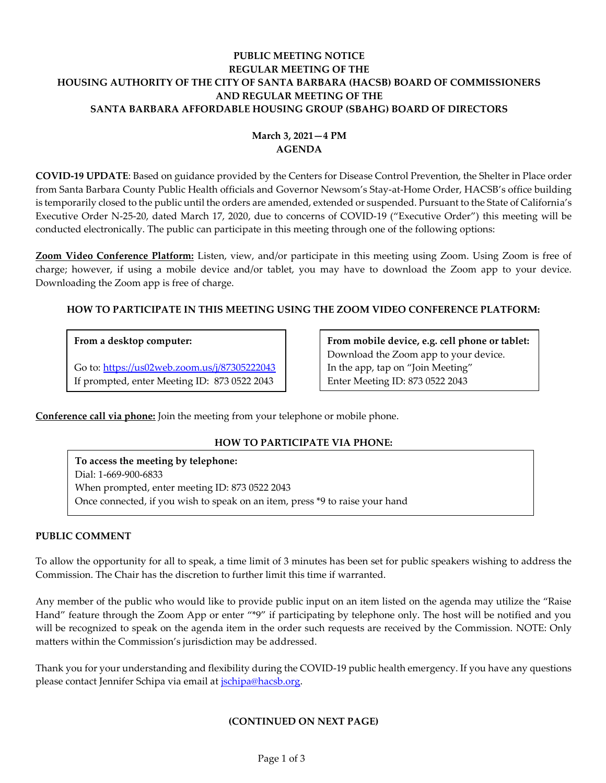# **PUBLIC MEETING NOTICE REGULAR MEETING OF THE HOUSING AUTHORITY OF THE CITY OF SANTA BARBARA (HACSB) BOARD OF COMMISSIONERS AND REGULAR MEETING OF THE SANTA BARBARA AFFORDABLE HOUSING GROUP (SBAHG) BOARD OF DIRECTORS**

# **March 3, 2021—4 PM AGENDA**

**COVID-19 UPDATE**: Based on guidance provided by the Centers for Disease Control Prevention, the Shelter in Place order from Santa Barbara County Public Health officials and Governor Newsom's Stay-at-Home Order, HACSB's office building is temporarily closed to the public until the orders are amended, extended or suspended. Pursuant to the State of California's Executive Order N-25-20, dated March 17, 2020, due to concerns of COVID-19 ("Executive Order") this meeting will be conducted electronically. The public can participate in this meeting through one of the following options:

**Zoom Video Conference Platform:** Listen, view, and/or participate in this meeting using Zoom. Using Zoom is free of charge; however, if using a mobile device and/or tablet, you may have to download the Zoom app to your device. Downloading the Zoom app is free of charge.

# **HOW TO PARTICIPATE IN THIS MEETING USING THE ZOOM VIDEO CONFERENCE PLATFORM:**

## **From a desktop computer:**

Go to:<https://us02web.zoom.us/j/87305222043> If prompted, enter Meeting ID: 873 0522 2043

**From mobile device, e.g. cell phone or tablet:** Download the Zoom app to your device. In the app, tap on "Join Meeting" Enter Meeting ID: 873 0522 2043

**Conference call via phone:** Join the meeting from your telephone or mobile phone.

# **HOW TO PARTICIPATE VIA PHONE:**

**To access the meeting by telephone:** Dial: 1-669-900-6833 When prompted, enter meeting ID: 873 0522 2043 Once connected, if you wish to speak on an item, press \*9 to raise your hand

### **PUBLIC COMMENT**

To allow the opportunity for all to speak, a time limit of 3 minutes has been set for public speakers wishing to address the Commission. The Chair has the discretion to further limit this time if warranted.

Any member of the public who would like to provide public input on an item listed on the agenda may utilize the "Raise Hand" feature through the Zoom App or enter "\*9" if participating by telephone only. The host will be notified and you will be recognized to speak on the agenda item in the order such requests are received by the Commission. NOTE: Only matters within the Commission's jurisdiction may be addressed.

Thank you for your understanding and flexibility during the COVID-19 public health emergency. If you have any questions please contact Jennifer Schipa via email at *jschipa@hacsb.org*.

# **(CONTINUED ON NEXT PAGE)**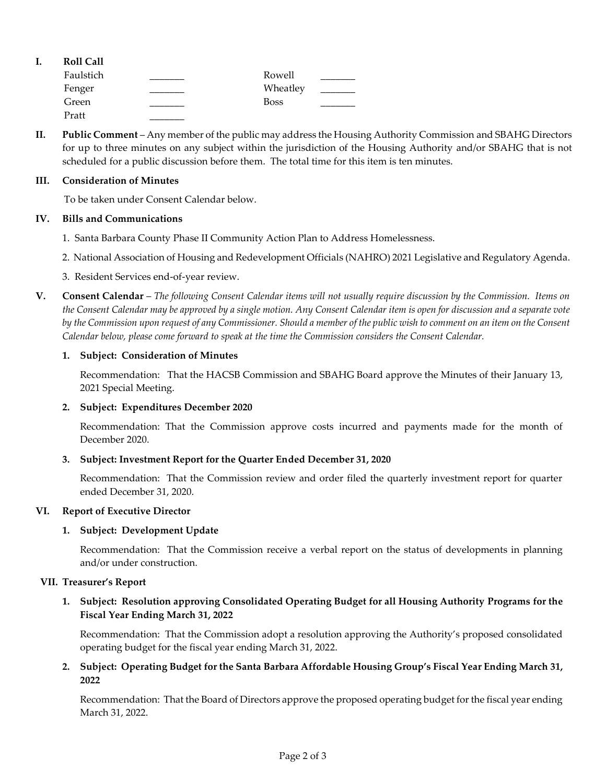| ı. | <b>Roll Call</b> |             |  |
|----|------------------|-------------|--|
|    | Faulstich        | Rowell      |  |
|    | Fenger           | Wheatley    |  |
|    | Green            | <b>Boss</b> |  |
|    | Pratt            |             |  |

**II. Public Comment** – Any member of the public may address the Housing Authority Commission and SBAHG Directors for up to three minutes on any subject within the jurisdiction of the Housing Authority and/or SBAHG that is not scheduled for a public discussion before them. The total time for this item is ten minutes.

### **III. Consideration of Minutes**

To be taken under Consent Calendar below.

### **IV. Bills and Communications**

- 1. Santa [Barbara County Phase II Community Action Plan to Address Homelessness.](https://hacsb.org/download/meetings_2021/items/march/Item-IV.1_Phase-II-Community-Action-Plan-to-Address-Homelessness.pdf)
- [2. National Association of Housing and Redevelopment Officials](https://hacsb.org/download/meetings_2021/items/march/Item-IV.2_NAHRO-2021-Legislative-Agenda.pdf) (NAHRO) 2021 Legislative and Regulatory Agenda.
- [3. Resident Services end-of-year](https://hacsb.org/download/meetings_2021/items/march/Item-IV.3_Resident-Services-End-of-Year-Report-2020.pdf) review.
- **V. Consent Calendar** *The following Consent Calendar items will not usually require discussion by the Commission. Items on the Consent Calendar may be approved by a single motion. Any Consent Calendar item is open for discussion and a separate vote by the Commission upon request of any Commissioner. Should a member of the public wish to comment on an item on the Consent Calendar below, please come forward to speak at the time the Commission considers the Consent Calendar.*

### **1. Subject: Consideration of Minutes**

[Recommendation: That the HACSB Commission](https://hacsb.org/download/meetings_2021/items/march/Item-V.1_Minutes-01-13-2021.pdf) and SBAHG Board approve the Minutes of their January 13, 2021 Special Meeting.

#### **2. Subject: Expenditures December 2020**

[Recommendation: That the Commission approve costs incurred and payments made for the month of](https://hacsb.org/download/meetings_2021/items/march/Item-V.2_December-2020-Expenditures.pdf)  December 2020.

### **3. Subject: Investment Report for the Quarter Ended December 31, 2020**

[Recommendation: That the Commission review and order filed the quarterly investment report for quarter](https://hacsb.org/download/meetings_2021/items/march/Item-V.3_Investment-Report-2020-12-31.pdf)  ended December 31, 2020.

### **VI. Report of Executive Director**

### **1. Subject: Development Update**

Recommendation: That the Commission receive a verbal report on the status of developments in planning and/or under construction.

#### **VII. Treasurer's Report**

# **1. [Subject: Resolution approving Consolidated Operating Budget for all Housing Authority](https://hacsb.org/download/meetings_2021/items/march/Item-VII.1_HACSB-Budget-Adoption-FY-2022.pdf) Programs for the Fiscal Year Ending March 31, 2022**

Recommendation: That the Commission adopt a resolution approving the Authority's proposed consolidated operating budget for the fiscal year ending March 31, 2022.

**2. Subject: Operating Budget for the Santa Barbara Affordable Housing Group's Fiscal Year Ending March 31, 2022**

[Recommendation: That the Board of Directors approve the proposed operating budget for the fiscal year ending](https://hacsb.org/download/meetings_2021/items/march/Item-VII.2_SBAHG-Budget-Adoption-FY-2022.pdf)  March 31, 2022.